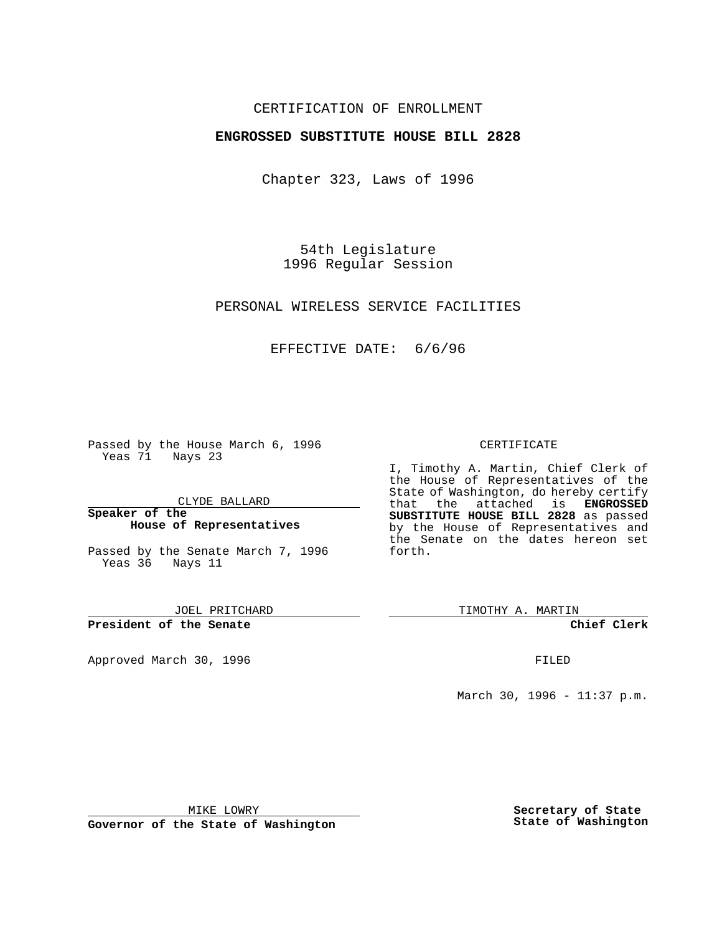## CERTIFICATION OF ENROLLMENT

## **ENGROSSED SUBSTITUTE HOUSE BILL 2828**

Chapter 323, Laws of 1996

54th Legislature 1996 Regular Session

PERSONAL WIRELESS SERVICE FACILITIES

EFFECTIVE DATE: 6/6/96

Passed by the House March 6, 1996 Yeas 71 Nays 23

CLYDE BALLARD

**Speaker of the House of Representatives**

Passed by the Senate March 7, 1996 Yeas 36 Nays 11

JOEL PRITCHARD

**President of the Senate**

Approved March 30, 1996 FILED

#### CERTIFICATE

I, Timothy A. Martin, Chief Clerk of the House of Representatives of the State of Washington, do hereby certify that the attached is **ENGROSSED SUBSTITUTE HOUSE BILL 2828** as passed by the House of Representatives and the Senate on the dates hereon set forth.

TIMOTHY A. MARTIN

**Chief Clerk**

March 30, 1996 - 11:37 p.m.

MIKE LOWRY

**Governor of the State of Washington**

**Secretary of State State of Washington**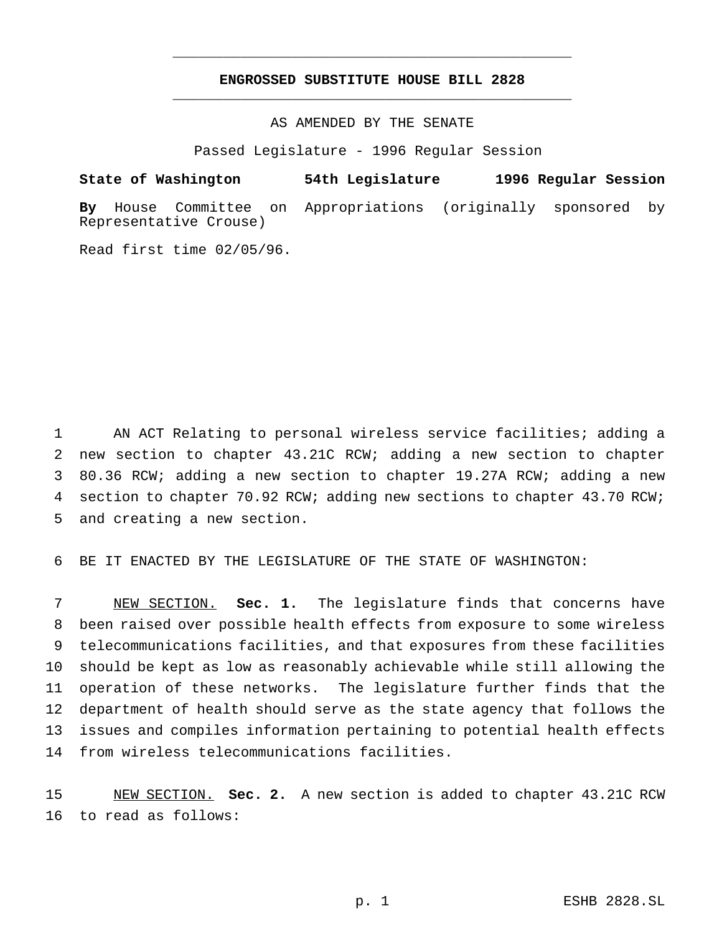# **ENGROSSED SUBSTITUTE HOUSE BILL 2828** \_\_\_\_\_\_\_\_\_\_\_\_\_\_\_\_\_\_\_\_\_\_\_\_\_\_\_\_\_\_\_\_\_\_\_\_\_\_\_\_\_\_\_\_\_\_\_

\_\_\_\_\_\_\_\_\_\_\_\_\_\_\_\_\_\_\_\_\_\_\_\_\_\_\_\_\_\_\_\_\_\_\_\_\_\_\_\_\_\_\_\_\_\_\_

# AS AMENDED BY THE SENATE

Passed Legislature - 1996 Regular Session

#### **State of Washington 54th Legislature 1996 Regular Session**

**By** House Committee on Appropriations (originally sponsored by Representative Crouse)

Read first time 02/05/96.

 AN ACT Relating to personal wireless service facilities; adding a new section to chapter 43.21C RCW; adding a new section to chapter 80.36 RCW; adding a new section to chapter 19.27A RCW; adding a new section to chapter 70.92 RCW; adding new sections to chapter 43.70 RCW; and creating a new section.

BE IT ENACTED BY THE LEGISLATURE OF THE STATE OF WASHINGTON:

 NEW SECTION. **Sec. 1.** The legislature finds that concerns have been raised over possible health effects from exposure to some wireless telecommunications facilities, and that exposures from these facilities should be kept as low as reasonably achievable while still allowing the operation of these networks. The legislature further finds that the department of health should serve as the state agency that follows the issues and compiles information pertaining to potential health effects from wireless telecommunications facilities.

 NEW SECTION. **Sec. 2.** A new section is added to chapter 43.21C RCW to read as follows: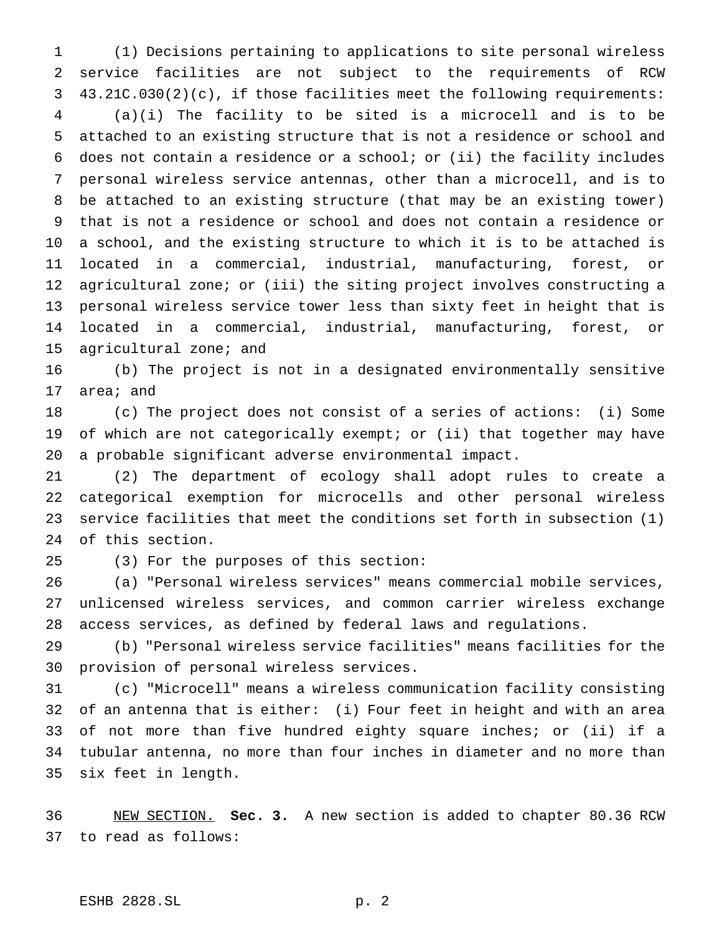(1) Decisions pertaining to applications to site personal wireless service facilities are not subject to the requirements of RCW 43.21C.030(2)(c), if those facilities meet the following requirements:

 (a)(i) The facility to be sited is a microcell and is to be attached to an existing structure that is not a residence or school and does not contain a residence or a school; or (ii) the facility includes personal wireless service antennas, other than a microcell, and is to be attached to an existing structure (that may be an existing tower) that is not a residence or school and does not contain a residence or a school, and the existing structure to which it is to be attached is located in a commercial, industrial, manufacturing, forest, or agricultural zone; or (iii) the siting project involves constructing a personal wireless service tower less than sixty feet in height that is located in a commercial, industrial, manufacturing, forest, or agricultural zone; and

 (b) The project is not in a designated environmentally sensitive area; and

 (c) The project does not consist of a series of actions: (i) Some 19 of which are not categorically exempt; or (ii) that together may have a probable significant adverse environmental impact.

 (2) The department of ecology shall adopt rules to create a categorical exemption for microcells and other personal wireless service facilities that meet the conditions set forth in subsection (1) of this section.

(3) For the purposes of this section:

 (a) "Personal wireless services" means commercial mobile services, unlicensed wireless services, and common carrier wireless exchange access services, as defined by federal laws and regulations.

 (b) "Personal wireless service facilities" means facilities for the provision of personal wireless services.

 (c) "Microcell" means a wireless communication facility consisting of an antenna that is either: (i) Four feet in height and with an area of not more than five hundred eighty square inches; or (ii) if a tubular antenna, no more than four inches in diameter and no more than six feet in length.

 NEW SECTION. **Sec. 3.** A new section is added to chapter 80.36 RCW to read as follows: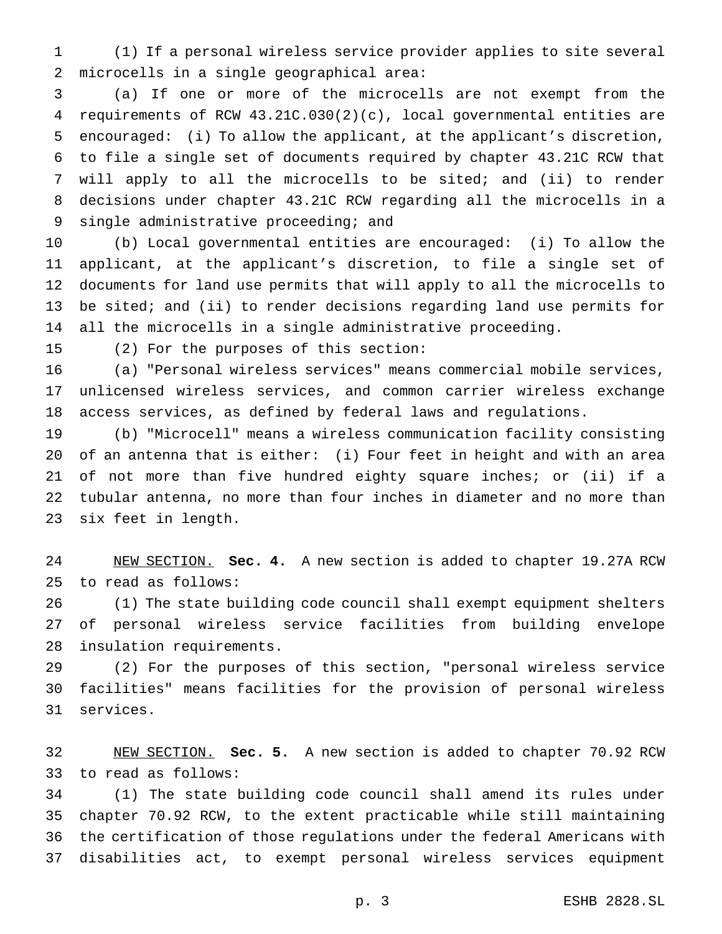(1) If a personal wireless service provider applies to site several microcells in a single geographical area:

 (a) If one or more of the microcells are not exempt from the requirements of RCW 43.21C.030(2)(c), local governmental entities are encouraged: (i) To allow the applicant, at the applicant's discretion, to file a single set of documents required by chapter 43.21C RCW that will apply to all the microcells to be sited; and (ii) to render decisions under chapter 43.21C RCW regarding all the microcells in a single administrative proceeding; and

 (b) Local governmental entities are encouraged: (i) To allow the applicant, at the applicant's discretion, to file a single set of documents for land use permits that will apply to all the microcells to be sited; and (ii) to render decisions regarding land use permits for all the microcells in a single administrative proceeding.

(2) For the purposes of this section:

 (a) "Personal wireless services" means commercial mobile services, unlicensed wireless services, and common carrier wireless exchange access services, as defined by federal laws and regulations.

 (b) "Microcell" means a wireless communication facility consisting of an antenna that is either: (i) Four feet in height and with an area of not more than five hundred eighty square inches; or (ii) if a tubular antenna, no more than four inches in diameter and no more than six feet in length.

 NEW SECTION. **Sec. 4.** A new section is added to chapter 19.27A RCW to read as follows:

 (1) The state building code council shall exempt equipment shelters of personal wireless service facilities from building envelope insulation requirements.

 (2) For the purposes of this section, "personal wireless service facilities" means facilities for the provision of personal wireless services.

 NEW SECTION. **Sec. 5.** A new section is added to chapter 70.92 RCW to read as follows:

 (1) The state building code council shall amend its rules under chapter 70.92 RCW, to the extent practicable while still maintaining the certification of those regulations under the federal Americans with disabilities act, to exempt personal wireless services equipment